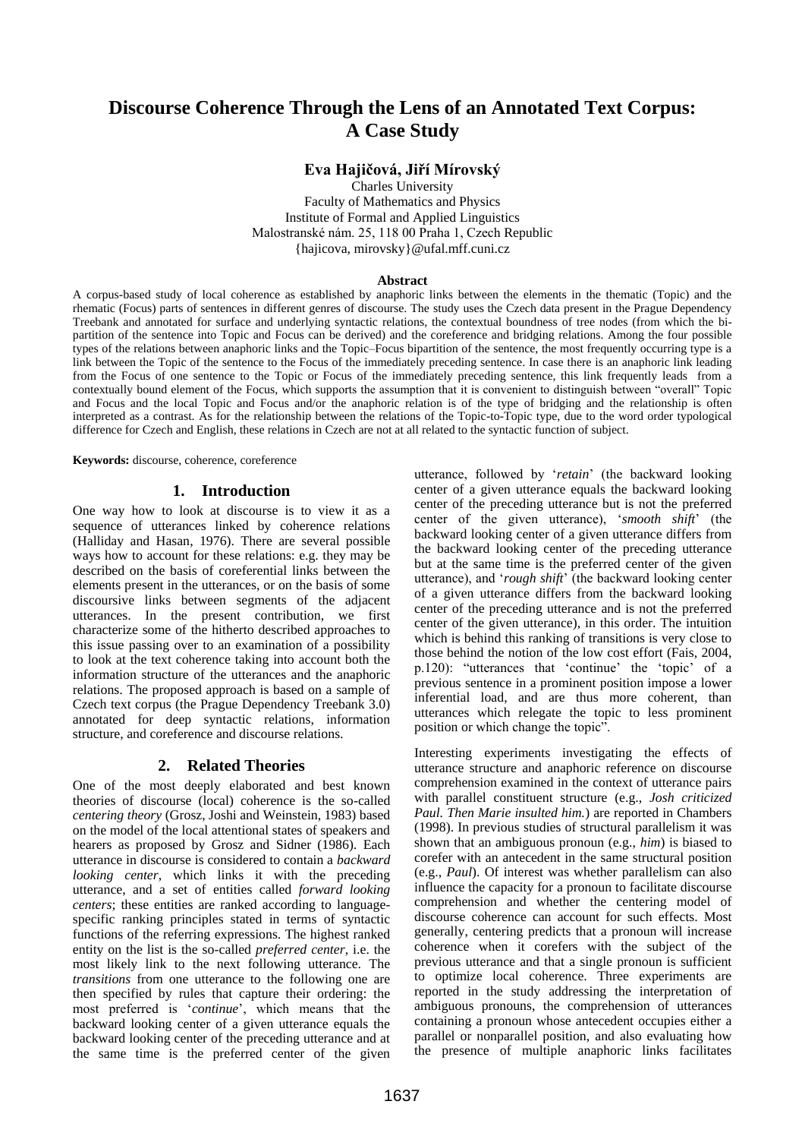# **Discourse Coherence Through the Lens of an Annotated Text Corpus: A Case Study**

# **Eva Hajičová, Jiří Mírovský**

Charles University Faculty of Mathematics and Physics Institute of Formal and Applied Linguistics Malostranské nám. 25, 118 00 Praha 1, Czech Republic {hajicova, mirovsky}@ufal.mff.cuni.cz

#### **Abstract**

A corpus-based study of local coherence as established by anaphoric links between the elements in the thematic (Topic) and the rhematic (Focus) parts of sentences in different genres of discourse. The study uses the Czech data present in the Prague Dependency Treebank and annotated for surface and underlying syntactic relations, the contextual boundness of tree nodes (from which the bipartition of the sentence into Topic and Focus can be derived) and the coreference and bridging relations. Among the four possible types of the relations between anaphoric links and the Topic–Focus bipartition of the sentence, the most frequently occurring type is a link between the Topic of the sentence to the Focus of the immediately preceding sentence. In case there is an anaphoric link leading from the Focus of one sentence to the Topic or Focus of the immediately preceding sentence, this link frequently leads from a contextually bound element of the Focus, which supports the assumption that it is convenient to distinguish between "overall" Topic and Focus and the local Topic and Focus and/or the anaphoric relation is of the type of bridging and the relationship is often interpreted as a contrast. As for the relationship between the relations of the Topic-to-Topic type, due to the word order typological difference for Czech and English, these relations in Czech are not at all related to the syntactic function of subject.

**Keywords:** discourse, coherence, coreference

### **1. Introduction**

One way how to look at discourse is to view it as a sequence of utterances linked by coherence relations (Halliday and Hasan, 1976). There are several possible ways how to account for these relations: e.g. they may be described on the basis of coreferential links between the elements present in the utterances, or on the basis of some discoursive links between segments of the adjacent utterances. In the present contribution, we first characterize some of the hitherto described approaches to this issue passing over to an examination of a possibility to look at the text coherence taking into account both the information structure of the utterances and the anaphoric relations. The proposed approach is based on a sample of Czech text corpus (the Prague Dependency Treebank 3.0) annotated for deep syntactic relations, information structure, and coreference and discourse relations.

#### **2. Related Theories**

One of the most deeply elaborated and best known theories of discourse (local) coherence is the so-called *centering theory* (Grosz, Joshi and Weinstein, 1983) based on the model of the local attentional states of speakers and hearers as proposed by Grosz and Sidner (1986). Each utterance in discourse is considered to contain a *backward looking center*, which links it with the preceding utterance, and a set of entities called *forward looking centers*; these entities are ranked according to languagespecific ranking principles stated in terms of syntactic functions of the referring expressions. The highest ranked entity on the list is the so-called *preferred center*, i.e. the most likely link to the next following utterance. The *transitions* from one utterance to the following one are then specified by rules that capture their ordering: the most preferred is "*continue*", which means that the backward looking center of a given utterance equals the backward looking center of the preceding utterance and at the same time is the preferred center of the given

utterance, followed by "*retain*" (the backward looking center of a given utterance equals the backward looking center of the preceding utterance but is not the preferred center of the given utterance), "*smooth shift*" (the backward looking center of a given utterance differs from the backward looking center of the preceding utterance but at the same time is the preferred center of the given utterance), and "*rough shift*" (the backward looking center of a given utterance differs from the backward looking center of the preceding utterance and is not the preferred center of the given utterance), in this order. The intuition which is behind this ranking of transitions is very close to those behind the notion of the low cost effort (Fais, 2004, p.120): "utterances that 'continue' the 'topic' of a previous sentence in a prominent position impose a lower inferential load, and are thus more coherent, than utterances which relegate the topic to less prominent position or which change the topic".

Interesting experiments investigating the effects of utterance structure and anaphoric reference on discourse comprehension examined in the context of utterance pairs with parallel constituent structure (e.g., *Josh criticized Paul. Then Marie insulted him.*) are reported in Chambers (1998). In previous studies of structural parallelism it was shown that an ambiguous pronoun (e.g., *him*) is biased to corefer with an antecedent in the same structural position (e.g., *Paul*). Of interest was whether parallelism can also influence the capacity for a pronoun to facilitate discourse comprehension and whether the centering model of discourse coherence can account for such effects. Most generally, centering predicts that a pronoun will increase coherence when it corefers with the subject of the previous utterance and that a single pronoun is sufficient to optimize local coherence. Three experiments are reported in the study addressing the interpretation of ambiguous pronouns, the comprehension of utterances containing a pronoun whose antecedent occupies either a parallel or nonparallel position, and also evaluating how the presence of multiple anaphoric links facilitates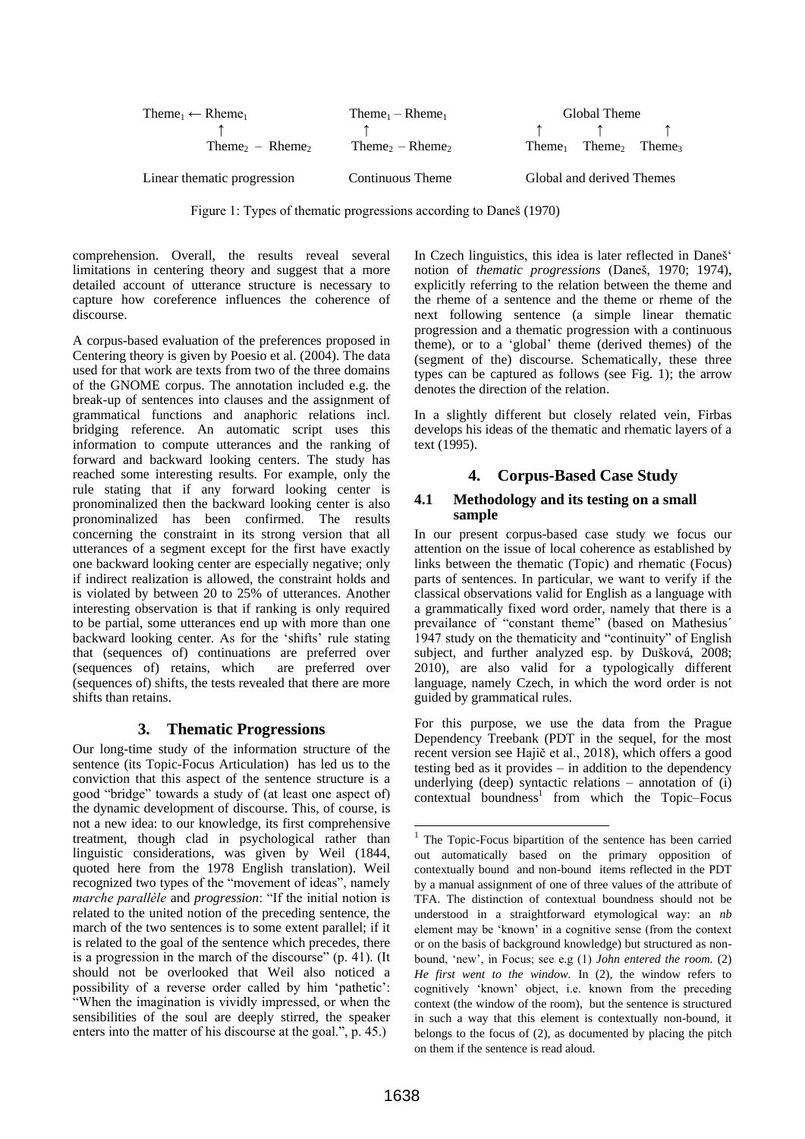| Theme <sub>1</sub> $\leftarrow$ Rheme <sub>1</sub> | Theme <sub>1</sub> – Rheme <sub>1</sub>       | Global Theme                                             |
|----------------------------------------------------|-----------------------------------------------|----------------------------------------------------------|
|                                                    |                                               |                                                          |
| Theme <sub>2</sub> – Rheme <sub>2</sub>            | Theme <sub>2</sub> – Rheme <sub>2</sub>       | Theme <sub>1</sub> Theme <sub>2</sub> Theme <sub>3</sub> |
| Linear thematic progression                        | Global and derived Themes<br>Continuous Theme |                                                          |

Figure 1: Types of thematic progressions according to Daneš (1970)

comprehension. Overall, the results reveal several limitations in centering theory and suggest that a more detailed account of utterance structure is necessary to capture how coreference influences the coherence of discourse.

A corpus-based evaluation of the preferences proposed in Centering theory is given by Poesio et al. (2004). The data used for that work are texts from two of the three domains of the GNOME corpus. The annotation included e.g. the break-up of sentences into clauses and the assignment of grammatical functions and anaphoric relations incl. bridging reference. An automatic script uses this information to compute utterances and the ranking of forward and backward looking centers. The study has reached some interesting results. For example, only the rule stating that if any forward looking center is pronominalized then the backward looking center is also pronominalized has been confirmed. The results concerning the constraint in its strong version that all utterances of a segment except for the first have exactly one backward looking center are especially negative; only if indirect realization is allowed, the constraint holds and is violated by between 20 to 25% of utterances. Another interesting observation is that if ranking is only required to be partial, some utterances end up with more than one backward looking center. As for the "shifts" rule stating that (sequences of) continuations are preferred over (sequences of) retains, which are preferred over (sequences of) shifts, the tests revealed that there are more shifts than retains.

# **3. Thematic Progressions**

Our long-time study of the information structure of the sentence (its Topic-Focus Articulation) has led us to the conviction that this aspect of the sentence structure is a good "bridge" towards a study of (at least one aspect of) the dynamic development of discourse. This, of course, is not a new idea: to our knowledge, its first comprehensive treatment, though clad in psychological rather than linguistic considerations, was given by Weil (1844, quoted here from the 1978 English translation). Weil recognized two types of the "movement of ideas", namely *marche parallèle* and *progression*: "If the initial notion is related to the united notion of the preceding sentence, the march of the two sentences is to some extent parallel; if it is related to the goal of the sentence which precedes, there is a progression in the march of the discourse" (p. 41). (It should not be overlooked that Weil also noticed a possibility of a reverse order called by him "pathetic": "When the imagination is vividly impressed, or when the sensibilities of the soul are deeply stirred, the speaker enters into the matter of his discourse at the goal.", p. 45.)

In Czech linguistics, this idea is later reflected in Daneš' notion of *thematic progressions* (Daneš, 1970; 1974), explicitly referring to the relation between the theme and the rheme of a sentence and the theme or rheme of the next following sentence (a simple linear thematic progression and a thematic progression with a continuous theme), or to a "global" theme (derived themes) of the (segment of the) discourse. Schematically, these three types can be captured as follows (see Fig. 1); the arrow denotes the direction of the relation.

In a slightly different but closely related vein, Firbas develops his ideas of the thematic and rhematic layers of a text (1995).

# **4. Corpus-Based Case Study**

## **4.1 Methodology and its testing on a small sample**

In our present corpus-based case study we focus our attention on the issue of local coherence as established by links between the thematic (Topic) and rhematic (Focus) parts of sentences. In particular, we want to verify if the classical observations valid for English as a language with a grammatically fixed word order, namely that there is a prevailance of "constant theme" (based on Mathesius´ 1947 study on the thematicity and "continuity" of English subject, and further analyzed esp. by Dušková, 2008; 2010), are also valid for a typologically different language, namely Czech, in which the word order is not guided by grammatical rules.

For this purpose, we use the data from the Prague Dependency Treebank (PDT in the sequel, for the most recent version see Hajič et al., 2018), which offers a good testing bed as it provides – in addition to the dependency underlying (deep) syntactic relations – annotation of (i) contextual boundness<sup>1</sup> from which the Topic–Focus

The Topic-Focus bipartition of the sentence has been carried out automatically based on the primary opposition of contextually bound and non-bound items reflected in the PDT by a manual assignment of one of three values of the attribute of TFA. The distinction of contextual boundness should not be understood in a straightforward etymological way: an *nb* element may be "known" in a cognitive sense (from the context or on the basis of background knowledge) but structured as nonbound, "new", in Focus; see e.g (1) *John entered the room.* (2) *He first went to the window.* In (2), the window refers to cognitively "known" object, i.e. known from the preceding context (the window of the room), but the sentence is structured in such a way that this element is contextually non-bound, it belongs to the focus of (2), as documented by placing the pitch on them if the sentence is read aloud.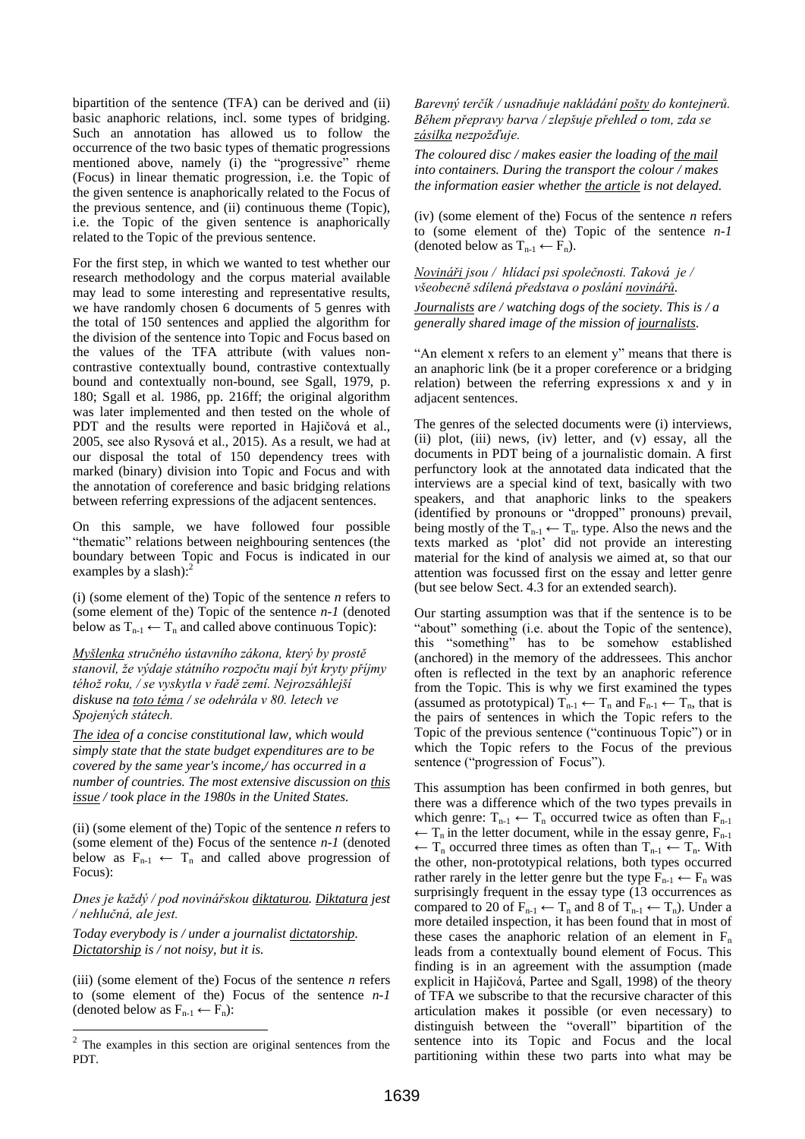bipartition of the sentence (TFA) can be derived and (ii) basic anaphoric relations, incl. some types of bridging. Such an annotation has allowed us to follow the occurrence of the two basic types of thematic progressions mentioned above, namely (i) the "progressive" rheme (Focus) in linear thematic progression, i.e. the Topic of the given sentence is anaphorically related to the Focus of the previous sentence, and (ii) continuous theme (Topic), i.e. the Topic of the given sentence is anaphorically related to the Topic of the previous sentence.

For the first step, in which we wanted to test whether our research methodology and the corpus material available may lead to some interesting and representative results, we have randomly chosen 6 documents of 5 genres with the total of 150 sentences and applied the algorithm for the division of the sentence into Topic and Focus based on the values of the TFA attribute (with values noncontrastive contextually bound, contrastive contextually bound and contextually non-bound, see Sgall, 1979, p. 180; Sgall et al. 1986, pp. 216ff; the original algorithm was later implemented and then tested on the whole of PDT and the results were reported in Hajičová et al., 2005, see also Rysová et al., 2015). As a result, we had at our disposal the total of 150 dependency trees with marked (binary) division into Topic and Focus and with the annotation of coreference and basic bridging relations between referring expressions of the adjacent sentences.

On this sample, we have followed four possible "thematic" relations between neighbouring sentences (the boundary between Topic and Focus is indicated in our examples by a slash):<sup>2</sup>

(i) (some element of the) Topic of the sentence *n* refers to (some element of the) Topic of the sentence *n-1* (denoted below as  $T_{n-1} \leftarrow T_n$  and called above continuous Topic):

*Myšlenka stručného ústavního zákona, který by prostě stanovil, že výdaje státního rozpočtu mají být kryty příjmy téhož roku, / se vyskytla v řadě zemí. Nejrozsáhlejší diskuse na toto téma / se odehrála v 80. letech ve Spojených státech.*

*The idea of a concise constitutional law, which would simply state that the state budget expenditures are to be covered by the same year's income,/ has occurred in a number of countries. The most extensive discussion on this issue / took place in the 1980s in the United States.*

(ii) (some element of the) Topic of the sentence *n* refers to (some element of the) Focus of the sentence *n-1* (denoted below as  $F_{n-1} \leftarrow T_n$  and called above progression of Focus):

*Dnes je každý / pod novinářskou diktaturou. Diktatura jest / nehlučná, ale jest.*

*Today everybody is / under a journalist dictatorship. Dictatorship is / not noisy, but it is.*

(iii) (some element of the) Focus of the sentence *n* refers to (some element of the) Focus of the sentence *n-1*  (denoted below as  $F_{n-1} \leftarrow F_n$ ):

*Barevný terčík / usnadňuje nakládání pošty do kontejnerů. Během přepravy barva / zlepšuje přehled o tom, zda se zásilka nezpožďuje.*

*The coloured disc / makes easier the loading of the mail into containers. During the transport the colour / makes the information easier whether the article is not delayed.*

(iv) (some element of the) Focus of the sentence *n* refers to (some element of the) Topic of the sentence *n-1* (denoted below as  $T_{n-1} \leftarrow F_n$ ).

*Novináři jsou / hlídací psi společnosti. Taková je / všeobecně sdílená představa o poslání novinářů. Journalists are / watching dogs of the society. This is / a* 

*generally shared image of the mission of journalists*.

"An element x refers to an element y" means that there is an anaphoric link (be it a proper coreference or a bridging relation) between the referring expressions x and y in adjacent sentences.

The genres of the selected documents were (i) interviews, (ii) plot, (iii) news, (iv) letter, and (v) essay, all the documents in PDT being of a journalistic domain. A first perfunctory look at the annotated data indicated that the interviews are a special kind of text, basically with two speakers, and that anaphoric links to the speakers (identified by pronouns or "dropped" pronouns) prevail, being mostly of the  $T_{n-1} \leftarrow T_n$ . type. Also the news and the texts marked as "plot" did not provide an interesting material for the kind of analysis we aimed at, so that our attention was focussed first on the essay and letter genre (but see below Sect. 4.3 for an extended search).

Our starting assumption was that if the sentence is to be "about" something (i.e. about the Topic of the sentence), this "something" has to be somehow established (anchored) in the memory of the addressees. This anchor often is reflected in the text by an anaphoric reference from the Topic. This is why we first examined the types (assumed as prototypical)  $T_{n-1} \leftarrow T_n$  and  $F_{n-1} \leftarrow T_n$ , that is the pairs of sentences in which the Topic refers to the Topic of the previous sentence ("continuous Topic") or in which the Topic refers to the Focus of the previous sentence ("progression of Focus").

This assumption has been confirmed in both genres, but there was a difference which of the two types prevails in which genre:  $T_{n-1} \leftarrow T_n$  occurred twice as often than  $F_{n-1}$  $\leftarrow T_n$  in the letter document, while in the essay genre,  $F_{n-1}$  $\leftarrow T_n$  occurred three times as often than  $T_{n-1} \leftarrow T_n$ . With the other, non-prototypical relations, both types occurred rather rarely in the letter genre but the type  $F_{n-1} \leftarrow F_n$  was surprisingly frequent in the essay type (13 occurrences as compared to 20 of  $F_{n-1} \leftarrow T_n$  and 8 of  $T_{n-1} \leftarrow T_n$ ). Under a more detailed inspection, it has been found that in most of these cases the anaphoric relation of an element in  $F_n$ leads from a contextually bound element of Focus. This finding is in an agreement with the assumption (made explicit in Hajičová, Partee and Sgall, 1998) of the theory of TFA we subscribe to that the recursive character of this articulation makes it possible (or even necessary) to distinguish between the "overall" bipartition of the sentence into its Topic and Focus and the local partitioning within these two parts into what may be

<sup>&</sup>lt;sup>2</sup> The examples in this section are original sentences from the PDT.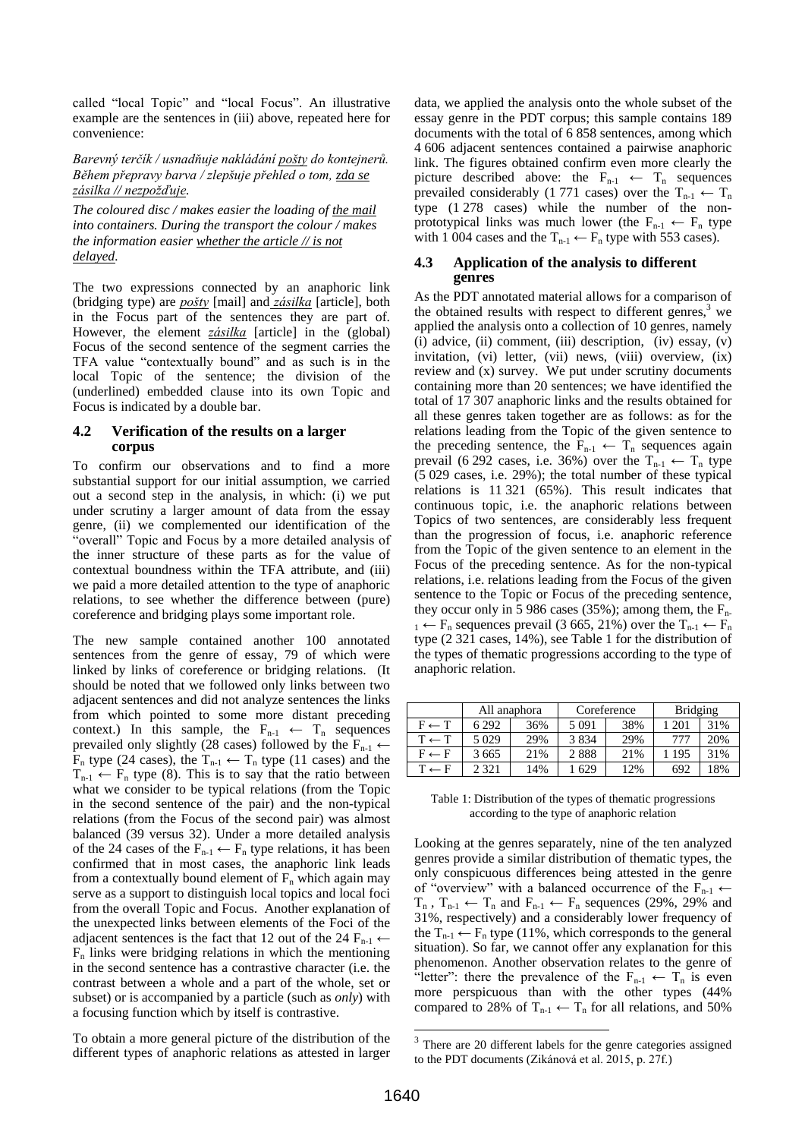called "local Topic" and "local Focus". An illustrative example are the sentences in (iii) above, repeated here for convenience:

## *Barevný terčík / usnadňuje nakládání pošty do kontejnerů. Během přepravy barva / zlepšuje přehled o tom, zda se zásilka // nezpožďuje.*

*The coloured disc / makes easier the loading of the mail into containers. During the transport the colour / makes the information easier whether the article // is not delayed.*

The two expressions connected by an anaphoric link (bridging type) are *pošty* [mail] and *zásilka* [article], both in the Focus part of the sentences they are part of. However, the element *zásilka* [article] in the (global) Focus of the second sentence of the segment carries the TFA value "contextually bound" and as such is in the local Topic of the sentence; the division of the (underlined) embedded clause into its own Topic and Focus is indicated by a double bar.

## **4.2 Verification of the results on a larger corpus**

To confirm our observations and to find a more substantial support for our initial assumption, we carried out a second step in the analysis, in which: (i) we put under scrutiny a larger amount of data from the essay genre, (ii) we complemented our identification of the "overall" Topic and Focus by a more detailed analysis of the inner structure of these parts as for the value of contextual boundness within the TFA attribute, and (iii) we paid a more detailed attention to the type of anaphoric relations, to see whether the difference between (pure) coreference and bridging plays some important role.

The new sample contained another 100 annotated sentences from the genre of essay, 79 of which were linked by links of coreference or bridging relations. (It should be noted that we followed only links between two adjacent sentences and did not analyze sentences the links from which pointed to some more distant preceding context.) In this sample, the  $F_{n-1} \leftarrow T_n$  sequences prevailed only slightly (28 cases) followed by the  $F_{n-1} \leftarrow$  $F_n$  type (24 cases), the  $T_{n-1} \leftarrow T_n$  type (11 cases) and the  $T_{n-1} \leftarrow F_n$  type (8). This is to say that the ratio between what we consider to be typical relations (from the Topic in the second sentence of the pair) and the non-typical relations (from the Focus of the second pair) was almost balanced (39 versus 32). Under a more detailed analysis of the 24 cases of the  $F_{n-1} \leftarrow F_n$  type relations, it has been confirmed that in most cases, the anaphoric link leads from a contextually bound element of  $F_n$  which again may serve as a support to distinguish local topics and local foci from the overall Topic and Focus. Another explanation of the unexpected links between elements of the Foci of the adjacent sentences is the fact that 12 out of the 24  $F_{n-1} \leftarrow$  $F_n$  links were bridging relations in which the mentioning in the second sentence has a contrastive character (i.e. the contrast between a whole and a part of the whole, set or subset) or is accompanied by a particle (such as *only*) with a focusing function which by itself is contrastive.

To obtain a more general picture of the distribution of the different types of anaphoric relations as attested in larger

data, we applied the analysis onto the whole subset of the essay genre in the PDT corpus; this sample contains 189 documents with the total of 6 858 sentences, among which 4 606 adjacent sentences contained a pairwise anaphoric link. The figures obtained confirm even more clearly the picture described above: the  $F_{n-1} \leftarrow T_n$  sequences prevailed considerably (1 771 cases) over the  $T_{n-1} \leftarrow T_n$ type (1 278 cases) while the number of the nonprototypical links was much lower (the  $F_{n-1} \leftarrow F_n$  type with 1 004 cases and the  $T_{n-1} \leftarrow F_n$  type with 553 cases).

#### **4.3 Application of the analysis to different genres**

As the PDT annotated material allows for a comparison of the obtained results with respect to different genres, $3$  we applied the analysis onto a collection of 10 genres, namely (i) advice, (ii) comment, (iii) description, (iv) essay, (v) invitation, (vi) letter, (vii) news, (viii) overview, (ix) review and (x) survey. We put under scrutiny documents containing more than 20 sentences; we have identified the total of 17 307 anaphoric links and the results obtained for all these genres taken together are as follows: as for the relations leading from the Topic of the given sentence to the preceding sentence, the  $F_{n-1} \leftarrow T_n$  sequences again prevail (6 292 cases, i.e. 36%) over the  $T_{n-1} \leftarrow T_n$  type (5 029 cases, i.e. 29%); the total number of these typical relations is 11 321 (65%). This result indicates that continuous topic, i.e. the anaphoric relations between Topics of two sentences, are considerably less frequent than the progression of focus, i.e. anaphoric reference from the Topic of the given sentence to an element in the Focus of the preceding sentence. As for the non-typical relations, i.e. relations leading from the Focus of the given sentence to the Topic or Focus of the preceding sentence, they occur only in 5 986 cases (35%); among them, the  $F_{n-}$  $_1 \leftarrow F_n$  sequences prevail (3 665, 21%) over the  $T_{n-1} \leftarrow F_n$ type (2 321 cases, 14%), see Table 1 for the distribution of the types of thematic progressions according to the type of anaphoric relation.

|                  | All anaphora |     | Coreference |     | <b>Bridging</b> |     |
|------------------|--------------|-----|-------------|-----|-----------------|-----|
| $F \leftarrow T$ | 6 29 2       | 36% | 5 0 9 1     | 38% | 201             | 31% |
| $T \leftarrow T$ | 5 0 2 9      | 29% | 3834        | 29% | 777             | 20% |
| $F \leftarrow F$ | 3 6 6 5      | 21% | 2888        | 21% | 1 195           | 31% |
| $T \leftarrow F$ | 2 3 2 1      | 14% | 1 629       | 12% | 692             | 18% |

Table 1: Distribution of the types of thematic progressions according to the type of anaphoric relation

Looking at the genres separately, nine of the ten analyzed genres provide a similar distribution of thematic types, the only conspicuous differences being attested in the genre of "overview" with a balanced occurrence of the  $F_{n-1} \leftarrow$  $T_n$ ,  $T_{n-1}$   $\leftarrow$   $T_n$  and  $F_{n-1}$   $\leftarrow$   $F_n$  sequences (29%, 29% and 31%, respectively) and a considerably lower frequency of the  $T_{n-1} \leftarrow F_n$  type (11%, which corresponds to the general situation). So far, we cannot offer any explanation for this phenomenon. Another observation relates to the genre of "letter": there the prevalence of the  $F_{n-1} \leftarrow T_n$  is even more perspicuous than with the other types (44% compared to 28% of  $T_{n-1} \leftarrow T_n$  for all relations, and 50%

<sup>&</sup>lt;sup>3</sup> There are 20 different labels for the genre categories assigned to the PDT documents (Zikánová et al. 2015, p. 27f.)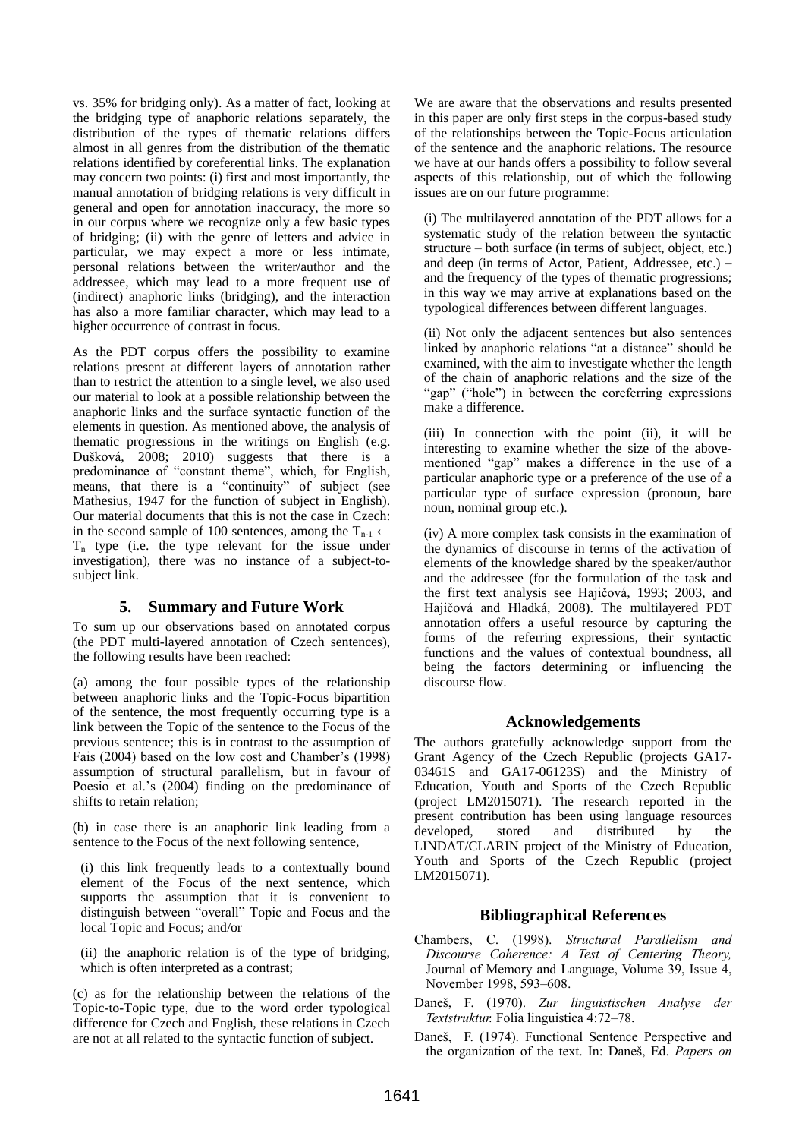vs. 35% for bridging only). As a matter of fact, looking at the bridging type of anaphoric relations separately, the distribution of the types of thematic relations differs almost in all genres from the distribution of the thematic relations identified by coreferential links. The explanation may concern two points: (i) first and most importantly, the manual annotation of bridging relations is very difficult in general and open for annotation inaccuracy, the more so in our corpus where we recognize only a few basic types of bridging; (ii) with the genre of letters and advice in particular, we may expect a more or less intimate, personal relations between the writer/author and the addressee, which may lead to a more frequent use of (indirect) anaphoric links (bridging), and the interaction has also a more familiar character, which may lead to a higher occurrence of contrast in focus.

As the PDT corpus offers the possibility to examine relations present at different layers of annotation rather than to restrict the attention to a single level, we also used our material to look at a possible relationship between the anaphoric links and the surface syntactic function of the elements in question. As mentioned above, the analysis of thematic progressions in the writings on English (e.g. Dušková, 2008; 2010) suggests that there is a predominance of "constant theme", which, for English, means, that there is a "continuity" of subject (see Mathesius, 1947 for the function of subject in English). Our material documents that this is not the case in Czech: in the second sample of 100 sentences, among the  $T_{n-1} \leftarrow$  $T_n$  type (i.e. the type relevant for the issue under investigation), there was no instance of a subject-tosubject link.

## **5. Summary and Future Work**

To sum up our observations based on annotated corpus (the PDT multi-layered annotation of Czech sentences), the following results have been reached:

(a) among the four possible types of the relationship between anaphoric links and the Topic-Focus bipartition of the sentence, the most frequently occurring type is a link between the Topic of the sentence to the Focus of the previous sentence; this is in contrast to the assumption of Fais (2004) based on the low cost and Chamber's (1998) assumption of structural parallelism, but in favour of Poesio et al.'s (2004) finding on the predominance of shifts to retain relation;

(b) in case there is an anaphoric link leading from a sentence to the Focus of the next following sentence,

(i) this link frequently leads to a contextually bound element of the Focus of the next sentence, which supports the assumption that it is convenient to distinguish between "overall" Topic and Focus and the local Topic and Focus; and/or

(ii) the anaphoric relation is of the type of bridging, which is often interpreted as a contrast;

(c) as for the relationship between the relations of the Topic-to-Topic type, due to the word order typological difference for Czech and English, these relations in Czech are not at all related to the syntactic function of subject.

We are aware that the observations and results presented in this paper are only first steps in the corpus-based study of the relationships between the Topic-Focus articulation of the sentence and the anaphoric relations. The resource we have at our hands offers a possibility to follow several aspects of this relationship, out of which the following issues are on our future programme:

(i) The multilayered annotation of the PDT allows for a systematic study of the relation between the syntactic structure – both surface (in terms of subject, object, etc.) and deep (in terms of Actor, Patient, Addressee, etc.) – and the frequency of the types of thematic progressions; in this way we may arrive at explanations based on the typological differences between different languages.

(ii) Not only the adjacent sentences but also sentences linked by anaphoric relations "at a distance" should be examined, with the aim to investigate whether the length of the chain of anaphoric relations and the size of the "gap" ("hole") in between the coreferring expressions make a difference.

(iii) In connection with the point (ii), it will be interesting to examine whether the size of the abovementioned "gap" makes a difference in the use of a particular anaphoric type or a preference of the use of a particular type of surface expression (pronoun, bare noun, nominal group etc.).

(iv) A more complex task consists in the examination of the dynamics of discourse in terms of the activation of elements of the knowledge shared by the speaker/author and the addressee (for the formulation of the task and the first text analysis see Hajičová, 1993; 2003, and Hajičová and Hladká, 2008). The multilayered PDT annotation offers a useful resource by capturing the forms of the referring expressions, their syntactic functions and the values of contextual boundness, all being the factors determining or influencing the discourse flow.

# **Acknowledgements**

The authors gratefully acknowledge support from the Grant Agency of the Czech Republic (projects GA17- 03461S and GA17-06123S) and the Ministry of Education, Youth and Sports of the Czech Republic (project LM2015071). The research reported in the present contribution has been using language resources developed, stored and distributed by the LINDAT/CLARIN project of the Ministry of Education, Youth and Sports of the Czech Republic (project LM2015071).

# **Bibliographical References**

- Chambers, C. (1998). *Structural Parallelism and Discourse Coherence: A Test of Centering Theory,* Journal of Memory and Language, Volume 39, Issue 4, November 1998, 593–608.
- Daneš, F. (1970). *Zur linguistischen Analyse der Textstruktur.* Folia linguistica 4:72–78.
- Daneš, F. (1974). Functional Sentence Perspective and the organization of the text. In: Daneš, Ed. *Papers on*